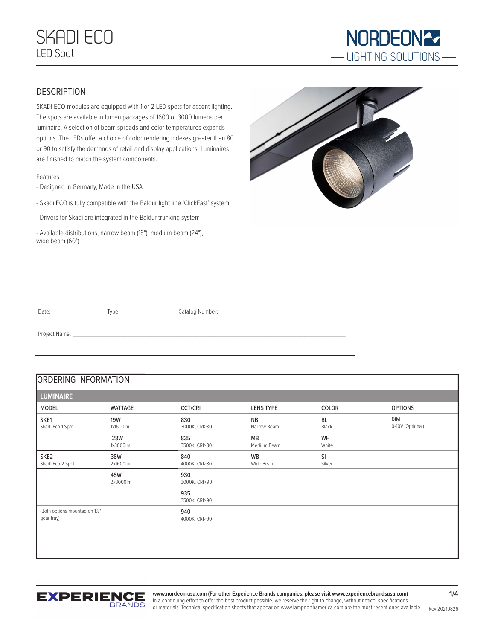# SKADI ECO LED Spot



## **DESCRIPTION**

SKADI ECO modules are equipped with 1 or 2 LED spots for accent lighting. The spots are available in lumen packages of 1600 or 3000 lumens per luminaire. A selection of beam spreads and color temperatures expands options. The LEDs offer a choice of color rendering indexes greater than 80 or 90 to satisfy the demands of retail and display applications. Luminaires are finished to match the system components.

#### Features

- Designed in Germany, Made in the USA
- Skadi ECO is fully compatible with the Baldur light line 'ClickFast' system
- Drivers for Skadi are integrated in the Baldur trunking system
- Available distributions, narrow beam (18°), medium beam (24°), wide beam (60°)



| Date: |                                                                                                                                                                                                                               |  |
|-------|-------------------------------------------------------------------------------------------------------------------------------------------------------------------------------------------------------------------------------|--|
|       | Project Name: Name and the state of the state of the state of the state of the state of the state of the state of the state of the state of the state of the state of the state of the state of the state of the state of the |  |

# ORDERING INFORMATION

| <b>LUMINAIRE</b>                            |                        |                      |                          |                     |                                |
|---------------------------------------------|------------------------|----------------------|--------------------------|---------------------|--------------------------------|
| <b>MODEL</b>                                | <b>WATTAGE</b>         | <b>CCT/CRI</b>       | LENS TYPE                | COLOR               | <b>OPTIONS</b>                 |
| SKE1<br>Skadi Eco 1 Spot                    | <b>19W</b><br>1x1600lm | 830<br>3000K, CRI>80 | <b>NB</b><br>Narrow Beam | BL<br>Black         | <b>DIM</b><br>0-10V (Optional) |
|                                             | <b>28W</b><br>1x3000lm | 835<br>3500K, CRI>80 | <b>MB</b><br>Medium Beam | WH<br>White         |                                |
| SKE <sub>2</sub><br>Skadi Eco 2 Spot        | 38W<br>2x1600lm        | 840<br>4000K, CRI>80 | <b>WB</b><br>Wide Beam   | <b>SI</b><br>Silver |                                |
|                                             | 45W<br>2x3000lm        | 930<br>3000K, CRI>90 |                          |                     |                                |
|                                             |                        | 935<br>3500K, CRI>90 |                          |                     |                                |
| (Both options mounted on 1.8'<br>gear tray) |                        | 940<br>4000K, CRI>90 |                          |                     |                                |
|                                             |                        |                      |                          |                     |                                |
|                                             |                        |                      |                          |                     |                                |



or materials. Technical specification sheets that appear on www.lampnorthamerica.com are the most recent ones available. Rev 20210826 **www.nordeon-usa.com (For other Experience Brands companies, please visit www.experiencebrandsusa.com)** In a continuing effort to offer the best product possible, we reserve the right to change, without notice, specifications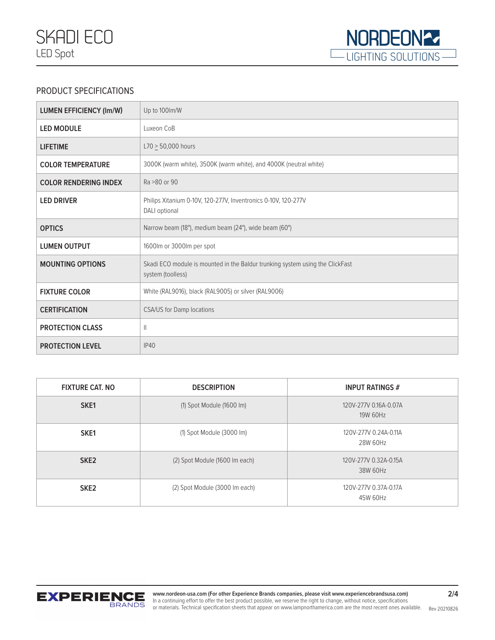

# PRODUCT SPECIFICATIONS

| <b>LUMEN EFFICIENCY (Im/W)</b> | Up to 100lm/W                                                                                      |
|--------------------------------|----------------------------------------------------------------------------------------------------|
| <b>LED MODULE</b>              | Luxeon CoB                                                                                         |
| <b>LIFETIME</b>                | $L70 > 50,000$ hours                                                                               |
| <b>COLOR TEMPERATURE</b>       | 3000K (warm white), 3500K (warm white), and 4000K (neutral white)                                  |
| <b>COLOR RENDERING INDEX</b>   | Ra > 80 or 90                                                                                      |
| <b>LED DRIVER</b>              | Philips Xitanium 0-10V, 120-277V, Inventronics 0-10V, 120-277V<br>DALI optional                    |
| <b>OPTICS</b>                  | Narrow beam (18°), medium beam (24°), wide beam (60°)                                              |
| <b>LUMEN OUTPUT</b>            | 1600lm or 3000lm per spot                                                                          |
| <b>MOUNTING OPTIONS</b>        | Skadi ECO module is mounted in the Baldur trunking system using the ClickFast<br>system (toolless) |
| <b>FIXTURE COLOR</b>           | White (RAL9016), black (RAL9005) or silver (RAL9006)                                               |
| <b>CERTIFICATION</b>           | CSA/US for Damp locations                                                                          |
| <b>PROTECTION CLASS</b>        | Ш                                                                                                  |
| <b>PROTECTION LEVEL</b>        | <b>IP40</b>                                                                                        |

| <b>FIXTURE CAT. NO</b> | <b>DESCRIPTION</b>                    | <b>INPUT RATINGS #</b>            |  |
|------------------------|---------------------------------------|-----------------------------------|--|
| SKE1                   | $(1)$ Spot Module $(1600 \text{ Im})$ | 120V-277V 0.16A-0.07A<br>19W 60Hz |  |
| SKE1                   | (1) Spot Module (3000 lm)             | 120V-277V 0.24A-0.11A<br>28W 60Hz |  |
| SKE <sub>2</sub>       | (2) Spot Module (1600 Im each)        | 120V-277V 0.32A-0.15A<br>38W 60Hz |  |
| SKE <sub>2</sub>       | (2) Spot Module (3000 Im each)        | 120V-277V 0.37A-0.17A<br>45W 60Hz |  |

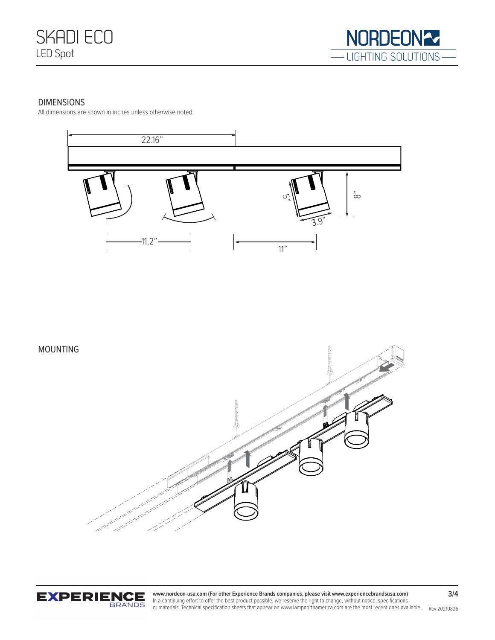

### DIMENSIONS

All dimensions are shown in inches unless otherwise noted.







or materials. Technical specification sheets that appear on www.lampnorthamerica.com are the most recent ones available. Rev 20210826 **www.nordeon-usa.com (For other Experience Brands companies, please visit www.experiencebrandsusa.com)** In a continuing effort to offer the best product possible, we reserve the right to change, without notice, specifications